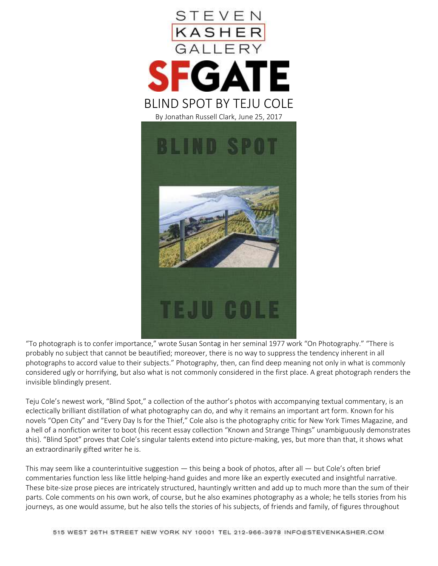

"To photograph is to confer importance," wrote Susan Sontag in her seminal 1977 work "On Photography." "There is probably no subject that cannot be beautified; moreover, there is no way to suppress the tendency inherent in all photographs to accord value to their subjects." Photography, then, can find deep meaning not only in what is commonly considered ugly or horrifying, but also what is not commonly considered in the first place. A great photograph renders the invisible blindingly present.

Teju Cole's newest work, "Blind Spot," a collection of the author's photos with accompanying textual commentary, is an eclectically brilliant distillation of what photography can do, and why it remains an important art form. Known for his novels "Open City" and "Every Day Is for the Thief," Cole also is the photography critic for New York Times Magazine, and a hell of a nonfiction writer to boot (his recent essay collection "Known and Strange Things" unambiguously demonstrates this). "Blind Spot" proves that Cole's singular talents extend into picture-making, yes, but more than that, it shows what an extraordinarily gifted writer he is.

This may seem like a counterintuitive suggestion — this being a book of photos, after all — but Cole's often brief commentaries function less like little helping-hand guides and more like an expertly executed and insightful narrative. These bite-size prose pieces are intricately structured, hauntingly written and add up to much more than the sum of their parts. Cole comments on his own work, of course, but he also examines photography as a whole; he tells stories from his journeys, as one would assume, but he also tells the stories of his subjects, of friends and family, of figures throughout